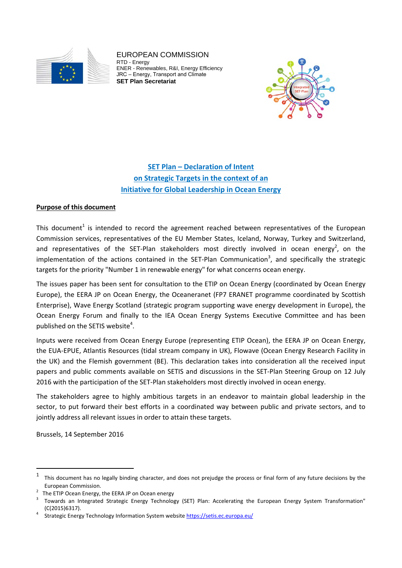

EUROPEAN COMMISSION RTD - Energy ENER - Renewables, R&I, Energy Efficiency JRC – Energy, Transport and Climate **SET Plan Secretariat** 



# **SET Plan – Declaration of Intent on Strategic Targets in the context of an Initiative for Global Leadership in Ocean Energy**

## **Purpose of this document**

This document<sup>1</sup> is intended to record the agreement reached between representatives of the European Commission services, representatives of the EU Member States, Iceland, Norway, Turkey and Switzerland, and representatives of the SET-Plan stakeholders most directly involved in ocean energy<sup>2</sup>, on the implementation of the actions contained in the SET-Plan Communication<sup>3</sup>, and specifically the strategic targets for the priority "Number 1 in renewable energy" for what concerns ocean energy.

The issues paper has been sent for consultation to the ETIP on Ocean Energy (coordinated by Ocean Energy Europe), the EERA JP on Ocean Energy, the Oceaneranet (FP7 ERANET programme coordinated by Scottish Enterprise), Wave Energy Scotland (strategic program supporting wave energy development in Europe), the Ocean Energy Forum and finally to the IEA Ocean Energy Systems Executive Committee and has been published on the SETIS website<sup>4</sup>.

Inputs were received from Ocean Energy Europe (representing ETIP Ocean), the EERA JP on Ocean Energy, the EUA‐EPUE, Atlantis Resources (tidal stream company in UK), Flowave (Ocean Energy Research Facility in the UK) and the Flemish government (BE). This declaration takes into consideration all the received input papers and public comments available on SETIS and discussions in the SET-Plan Steering Group on 12 July 2016 with the participation of the SET‐Plan stakeholders most directly involved in ocean energy.

The stakeholders agree to highly ambitious targets in an endeavor to maintain global leadership in the sector, to put forward their best efforts in a coordinated way between public and private sectors, and to jointly address all relevant issues in order to attain these targets.

Brussels, 14 September 2016

 $1$  This document has no legally binding character, and does not prejudge the process or final form of any future decisions by the European Commission. <sup>2</sup>

The ETIP Ocean Energy, the EERA JP on Ocean energy

 Towards an Integrated Strategic Energy Technology (SET) Plan: Accelerating the European Energy System Transformation"  $(C(2015)6317).$ 

Strategic Energy Technology Information System website https://setis.ec.europa.eu/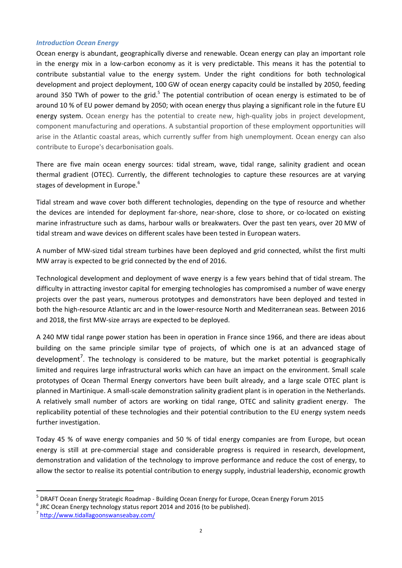#### *Introduction Ocean Energy*

Ocean energy is abundant, geographically diverse and renewable. Ocean energy can play an important role in the energy mix in a low-carbon economy as it is very predictable. This means it has the potential to contribute substantial value to the energy system. Under the right conditions for both technological development and project deployment, 100 GW of ocean energy capacity could be installed by 2050, feeding around 350 TWh of power to the grid.<sup>5</sup> The potential contribution of ocean energy is estimated to be of around 10 % of EU power demand by 2050; with ocean energy thus playing a significant role in the future EU energy system. Ocean energy has the potential to create new, high-quality jobs in project development, component manufacturing and operations. A substantial proportion of these employment opportunities will arise in the Atlantic coastal areas, which currently suffer from high unemployment. Ocean energy can also contribute to Europe's decarbonisation goals.

There are five main ocean energy sources: tidal stream, wave, tidal range, salinity gradient and ocean thermal gradient (OTEC). Currently, the different technologies to capture these resources are at varying stages of development in Europe.<sup>6</sup>

Tidal stream and wave cover both different technologies, depending on the type of resource and whether the devices are intended for deployment far-shore, near-shore, close to shore, or co-located on existing marine infrastructure such as dams, harbour walls or breakwaters. Over the past ten years, over 20 MW of tidal stream and wave devices on different scales have been tested in European waters.

A number of MW‐sized tidal stream turbines have been deployed and grid connected, whilst the first multi MW array is expected to be grid connected by the end of 2016.

Technological development and deployment of wave energy is a few years behind that of tidal stream. The difficulty in attracting investor capital for emerging technologies has compromised a number of wave energy projects over the past years, numerous prototypes and demonstrators have been deployed and tested in both the high-resource Atlantic arc and in the lower-resource North and Mediterranean seas. Between 2016 and 2018, the first MW‐size arrays are expected to be deployed.

A 240 MW tidal range power station has been in operation in France since 1966, and there are ideas about building on the same principle similar type of projects, of which one is at an advanced stage of development<sup>7</sup>. The technology is considered to be mature, but the market potential is geographically limited and requires large infrastructural works which can have an impact on the environment. Small scale prototypes of Ocean Thermal Energy convertors have been built already, and a large scale OTEC plant is planned in Martinique. A small‐scale demonstration salinity gradient plant is in operation in the Netherlands. A relatively small number of actors are working on tidal range, OTEC and salinity gradient energy. The replicability potential of these technologies and their potential contribution to the EU energy system needs further investigation.

Today 45 % of wave energy companies and 50 % of tidal energy companies are from Europe, but ocean energy is still at pre-commercial stage and considerable progress is required in research, development, demonstration and validation of the technology to improve performance and reduce the cost of energy, to allow the sector to realise its potential contribution to energy supply, industrial leadership, economic growth

<sup>&</sup>lt;sup>5</sup> DRAFT Ocean Energy Strategic Roadmap - Building Ocean Energy for Europe, Ocean Energy Forum 2015 6 JRC Ocean Energy technology status report 2014 and 2016 (to be published). <sup>7</sup> http://www.tidallagoonswanseabay.com/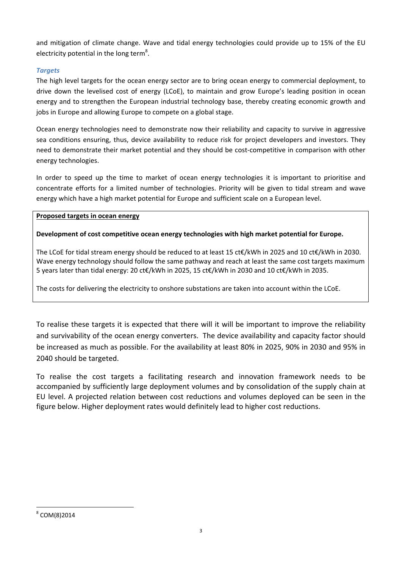and mitigation of climate change. Wave and tidal energy technologies could provide up to 15% of the EU electricity potential in the long term<sup>8</sup>.

# *Targets*

The high level targets for the ocean energy sector are to bring ocean energy to commercial deployment, to drive down the levelised cost of energy (LCoE), to maintain and grow Europe's leading position in ocean energy and to strengthen the European industrial technology base, thereby creating economic growth and jobs in Europe and allowing Europe to compete on a global stage.

Ocean energy technologies need to demonstrate now their reliability and capacity to survive in aggressive sea conditions ensuring, thus, device availability to reduce risk for project developers and investors. They need to demonstrate their market potential and they should be cost-competitive in comparison with other energy technologies.

In order to speed up the time to market of ocean energy technologies it is important to prioritise and concentrate efforts for a limited number of technologies. Priority will be given to tidal stream and wave energy which have a high market potential for Europe and sufficient scale on a European level.

## **Proposed targets in ocean energy**

# **Development of cost competitive ocean energy technologies with high market potential for Europe.**

The LCoE for tidal stream energy should be reduced to at least 15 ct€/kWh in 2025 and 10 ct€/kWh in 2030. Wave energy technology should follow the same pathway and reach at least the same cost targets maximum 5 years later than tidal energy: 20 ct€/kWh in 2025, 15 ct€/kWh in 2030 and 10 ct€/kWh in 2035.

The costs for delivering the electricity to onshore substations are taken into account within the LCoE.

To realise these targets it is expected that there will it will be important to improve the reliability and survivability of the ocean energy converters. The device availability and capacity factor should be increased as much as possible. For the availability at least 80% in 2025, 90% in 2030 and 95% in 2040 should be targeted.

To realise the cost targets a facilitating research and innovation framework needs to be accompanied by sufficiently large deployment volumes and by consolidation of the supply chain at EU level. A projected relation between cost reductions and volumes deployed can be seen in the figure below. Higher deployment rates would definitely lead to higher cost reductions.

 <sup>8</sup> COM(8)2014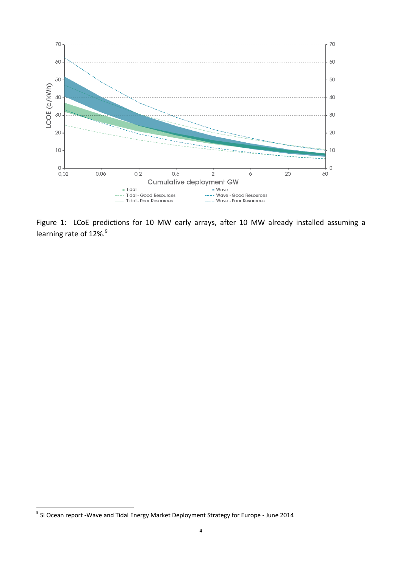

Figure 1: LCoE predictions for 10 MW early arrays, after 10 MW already installed assuming a learning rate of 12%.<sup>9</sup>

<sup>&</sup>lt;sup>9</sup> SI Ocean report -Wave and Tidal Energy Market Deployment Strategy for Europe - June 2014